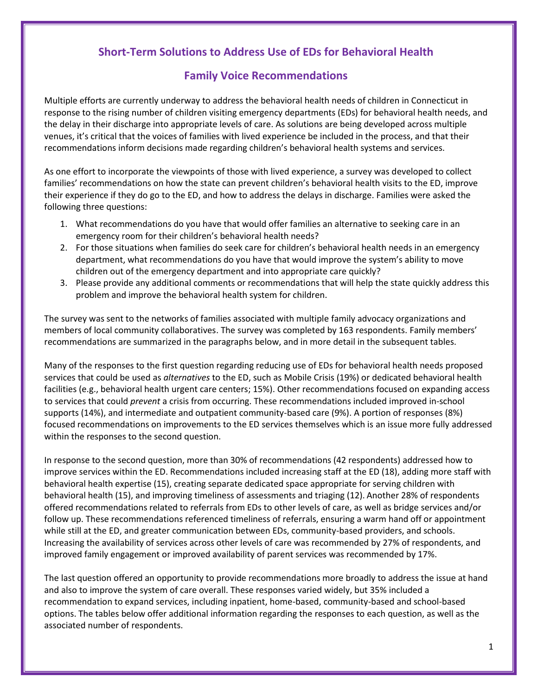## **Short-Term Solutions to Address Use of EDs for Behavioral Health**

## **Family Voice Recommendations**

Multiple efforts are currently underway to address the behavioral health needs of children in Connecticut in response to the rising number of children visiting emergency departments (EDs) for behavioral health needs, and the delay in their discharge into appropriate levels of care. As solutions are being developed across multiple venues, it's critical that the voices of families with lived experience be included in the process, and that their recommendations inform decisions made regarding children's behavioral health systems and services.

As one effort to incorporate the viewpoints of those with lived experience, a survey was developed to collect families' recommendations on how the state can prevent children's behavioral health visits to the ED, improve their experience if they do go to the ED, and how to address the delays in discharge. Families were asked the following three questions:

- 1. What recommendations do you have that would offer families an alternative to seeking care in an emergency room for their children's behavioral health needs?
- 2. For those situations when families do seek care for children's behavioral health needs in an emergency department, what recommendations do you have that would improve the system's ability to move children out of the emergency department and into appropriate care quickly?
- 3. Please provide any additional comments or recommendations that will help the state quickly address this problem and improve the behavioral health system for children.

The survey was sent to the networks of families associated with multiple family advocacy organizations and members of local community collaboratives. The survey was completed by 163 respondents. Family members' recommendations are summarized in the paragraphs below, and in more detail in the subsequent tables.

Many of the responses to the first question regarding reducing use of EDs for behavioral health needs proposed services that could be used as *alternatives* to the ED, such as Mobile Crisis (19%) or dedicated behavioral health facilities (e.g., behavioral health urgent care centers; 15%). Other recommendations focused on expanding access to services that could *prevent* a crisis from occurring. These recommendations included improved in-school supports (14%), and intermediate and outpatient community-based care (9%). A portion of responses (8%) focused recommendations on improvements to the ED services themselves which is an issue more fully addressed within the responses to the second question.

In response to the second question, more than 30% of recommendations (42 respondents) addressed how to improve services within the ED. Recommendations included increasing staff at the ED (18), adding more staff with behavioral health expertise (15), creating separate dedicated space appropriate for serving children with behavioral health (15), and improving timeliness of assessments and triaging (12). Another 28% of respondents offered recommendations related to referrals from EDs to other levels of care, as well as bridge services and/or follow up. These recommendations referenced timeliness of referrals, ensuring a warm hand off or appointment while still at the ED, and greater communication between EDs, community-based providers, and schools. Increasing the availability of services across other levels of care was recommended by 27% of respondents, and improved family engagement or improved availability of parent services was recommended by 17%.

The last question offered an opportunity to provide recommendations more broadly to address the issue at hand and also to improve the system of care overall. These responses varied widely, but 35% included a recommendation to expand services, including inpatient, home-based, community-based and school-based options. The tables below offer additional information regarding the responses to each question, as well as the associated number of respondents.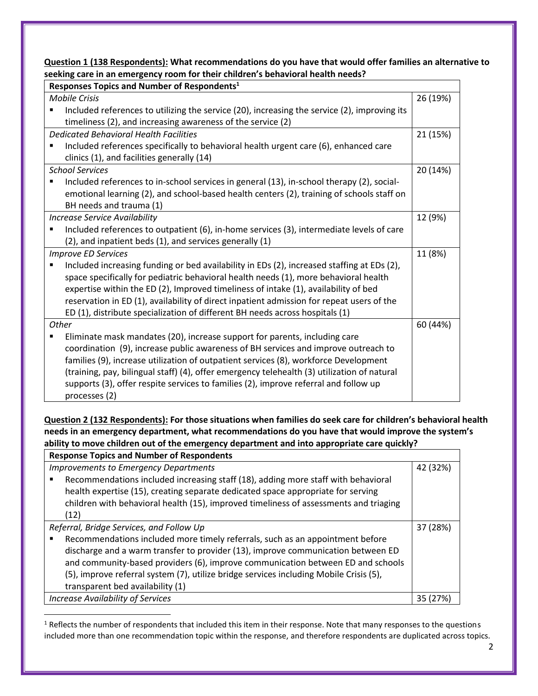**Question 1 (138 Respondents): What recommendations do you have that would offer families an alternative to seeking care in an emergency room for their children's behavioral health needs?**

| Responses Topics and Number of Respondents <sup>1</sup> |                                                                                              |          |  |
|---------------------------------------------------------|----------------------------------------------------------------------------------------------|----------|--|
| <b>Mobile Crisis</b>                                    |                                                                                              | 26 (19%) |  |
|                                                         | Included references to utilizing the service (20), increasing the service (2), improving its |          |  |
|                                                         | timeliness (2), and increasing awareness of the service (2)                                  |          |  |
| <b>Dedicated Behavioral Health Facilities</b>           |                                                                                              | 21 (15%) |  |
|                                                         | Included references specifically to behavioral health urgent care (6), enhanced care         |          |  |
|                                                         | clinics (1), and facilities generally (14)                                                   |          |  |
| <b>School Services</b>                                  |                                                                                              |          |  |
|                                                         | Included references to in-school services in general (13), in-school therapy (2), social-    |          |  |
|                                                         | emotional learning (2), and school-based health centers (2), training of schools staff on    |          |  |
|                                                         | BH needs and trauma (1)                                                                      |          |  |
| <b>Increase Service Availability</b>                    |                                                                                              | 12 (9%)  |  |
| п                                                       | Included references to outpatient (6), in-home services (3), intermediate levels of care     |          |  |
|                                                         | (2), and inpatient beds (1), and services generally (1)                                      |          |  |
| <b>Improve ED Services</b>                              |                                                                                              | 11 (8%)  |  |
|                                                         | Included increasing funding or bed availability in EDs (2), increased staffing at EDs (2),   |          |  |
|                                                         | space specifically for pediatric behavioral health needs (1), more behavioral health         |          |  |
|                                                         | expertise within the ED (2), Improved timeliness of intake (1), availability of bed          |          |  |
|                                                         | reservation in ED (1), availability of direct inpatient admission for repeat users of the    |          |  |
|                                                         | ED (1), distribute specialization of different BH needs across hospitals (1)                 |          |  |
| Other                                                   |                                                                                              | 60 (44%) |  |
|                                                         | Eliminate mask mandates (20), increase support for parents, including care                   |          |  |
|                                                         | coordination (9), increase public awareness of BH services and improve outreach to           |          |  |
|                                                         | families (9), increase utilization of outpatient services (8), workforce Development         |          |  |
|                                                         | (training, pay, bilingual staff) (4), offer emergency telehealth (3) utilization of natural  |          |  |
|                                                         | supports (3), offer respite services to families (2), improve referral and follow up         |          |  |
|                                                         | processes (2)                                                                                |          |  |

**Question 2 (132 Respondents): For those situations when families do seek care for children's behavioral health needs in an emergency department, what recommendations do you have that would improve the system's ability to move children out of the emergency department and into appropriate care quickly?**

| <b>Response Topics and Number of Respondents</b>                                                                                                                                                                                                                                                                                                                                   |  |  |  |
|------------------------------------------------------------------------------------------------------------------------------------------------------------------------------------------------------------------------------------------------------------------------------------------------------------------------------------------------------------------------------------|--|--|--|
| <b>Improvements to Emergency Departments</b>                                                                                                                                                                                                                                                                                                                                       |  |  |  |
| Recommendations included increasing staff (18), adding more staff with behavioral<br>health expertise (15), creating separate dedicated space appropriate for serving<br>children with behavioral health (15), improved timeliness of assessments and triaging<br>(12)                                                                                                             |  |  |  |
| Referral, Bridge Services, and Follow Up                                                                                                                                                                                                                                                                                                                                           |  |  |  |
| Recommendations included more timely referrals, such as an appointment before<br>discharge and a warm transfer to provider (13), improve communication between ED<br>and community-based providers (6), improve communication between ED and schools<br>(5), improve referral system (7), utilize bridge services including Mobile Crisis (5),<br>transparent bed availability (1) |  |  |  |
| <b>Increase Availability of Services</b>                                                                                                                                                                                                                                                                                                                                           |  |  |  |

 $\overline{a}$ 

 $1$  Reflects the number of respondents that included this item in their response. Note that many responses to the questions included more than one recommendation topic within the response, and therefore respondents are duplicated across topics.